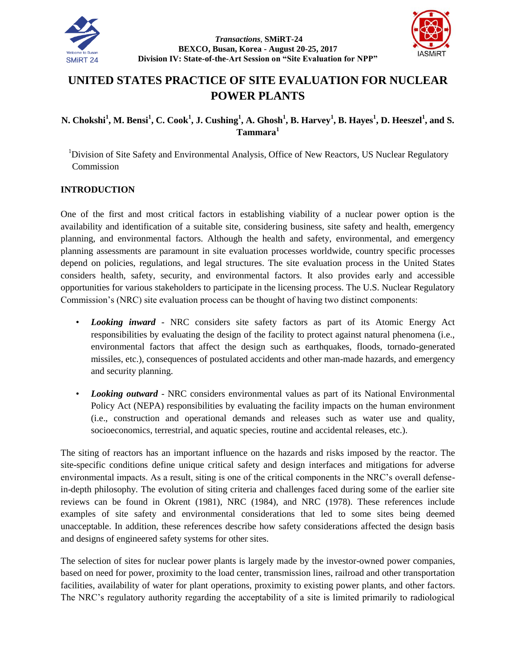



# **UNITED STATES PRACTICE OF SITE EVALUATION FOR NUCLEAR POWER PLANTS**

# N. Chokshi<sup>1</sup>, M. Bensi<sup>1</sup>, C. Cook<sup>1</sup>, J. Cushing<sup>1</sup>, A. Ghosh<sup>1</sup>, B. Harvey<sup>1</sup>, B. Hayes<sup>1</sup>, D. Heeszel<sup>1</sup>, and S. **Tammara<sup>1</sup>**

<sup>1</sup>Division of Site Safety and Environmental Analysis, Office of New Reactors, US Nuclear Regulatory Commission

# **INTRODUCTION**

One of the first and most critical factors in establishing viability of a nuclear power option is the availability and identification of a suitable site, considering business, site safety and health, emergency planning, and environmental factors. Although the health and safety, environmental, and emergency planning assessments are paramount in site evaluation processes worldwide, country specific processes depend on policies, regulations, and legal structures. The site evaluation process in the United States considers health, safety, security, and environmental factors. It also provides early and accessible opportunities for various stakeholders to participate in the licensing process. The U.S. Nuclear Regulatory Commission's (NRC) site evaluation process can be thought of having two distinct components:

- *Looking inward* NRC considers site safety factors as part of its Atomic Energy Act responsibilities by evaluating the design of the facility to protect against natural phenomena (i.e., environmental factors that affect the design such as earthquakes, floods, tornado-generated missiles, etc.), consequences of postulated accidents and other man-made hazards, and emergency and security planning.
- *Looking outward* NRC considers environmental values as part of its National Environmental Policy Act (NEPA) responsibilities by evaluating the facility impacts on the human environment (i.e., construction and operational demands and releases such as water use and quality, socioeconomics, terrestrial, and aquatic species, routine and accidental releases, etc.).

The siting of reactors has an important influence on the hazards and risks imposed by the reactor. The site-specific conditions define unique critical safety and design interfaces and mitigations for adverse environmental impacts. As a result, siting is one of the critical components in the NRC's overall defensein-depth philosophy. The evolution of siting criteria and challenges faced during some of the earlier site reviews can be found in Okrent (1981), NRC (1984), and NRC (1978). These references include examples of site safety and environmental considerations that led to some sites being deemed unacceptable. In addition, these references describe how safety considerations affected the design basis and designs of engineered safety systems for other sites.

The selection of sites for nuclear power plants is largely made by the investor-owned power companies, based on need for power, proximity to the load center, transmission lines, railroad and other transportation facilities, availability of water for plant operations, proximity to existing power plants, and other factors. The NRC's regulatory authority regarding the acceptability of a site is limited primarily to radiological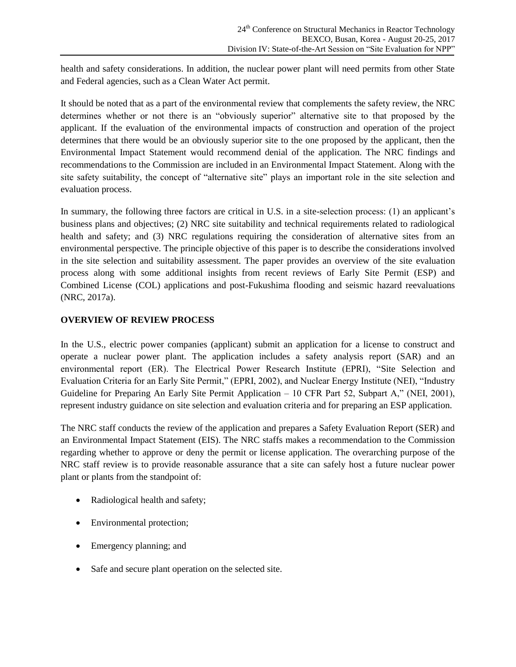health and safety considerations. In addition, the nuclear power plant will need permits from other State and Federal agencies, such as a Clean Water Act permit.

It should be noted that as a part of the environmental review that complements the safety review, the NRC determines whether or not there is an "obviously superior" alternative site to that proposed by the applicant. If the evaluation of the environmental impacts of construction and operation of the project determines that there would be an obviously superior site to the one proposed by the applicant, then the Environmental Impact Statement would recommend denial of the application. The NRC findings and recommendations to the Commission are included in an Environmental Impact Statement. Along with the site safety suitability, the concept of "alternative site" plays an important role in the site selection and evaluation process.

In summary, the following three factors are critical in U.S. in a site-selection process: (1) an applicant's business plans and objectives; (2) NRC site suitability and technical requirements related to radiological health and safety; and (3) NRC regulations requiring the consideration of alternative sites from an environmental perspective. The principle objective of this paper is to describe the considerations involved in the site selection and suitability assessment. The paper provides an overview of the site evaluation process along with some additional insights from recent reviews of Early Site Permit (ESP) and Combined License (COL) applications and post-Fukushima flooding and seismic hazard reevaluations (NRC, 2017a).

# **OVERVIEW OF REVIEW PROCESS**

In the U.S., electric power companies (applicant) submit an application for a license to construct and operate a nuclear power plant. The application includes a safety analysis report (SAR) and an environmental report (ER). The Electrical Power Research Institute (EPRI), "Site Selection and Evaluation Criteria for an Early Site Permit," (EPRI, 2002), and Nuclear Energy Institute (NEI), "Industry Guideline for Preparing An Early Site Permit Application – 10 CFR Part 52, Subpart A," (NEI, 2001), represent industry guidance on site selection and evaluation criteria and for preparing an ESP application.

The NRC staff conducts the review of the application and prepares a Safety Evaluation Report (SER) and an Environmental Impact Statement (EIS). The NRC staffs makes a recommendation to the Commission regarding whether to approve or deny the permit or license application. The overarching purpose of the NRC staff review is to provide reasonable assurance that a site can safely host a future nuclear power plant or plants from the standpoint of:

- Radiological health and safety;
- Environmental protection;
- Emergency planning; and
- Safe and secure plant operation on the selected site.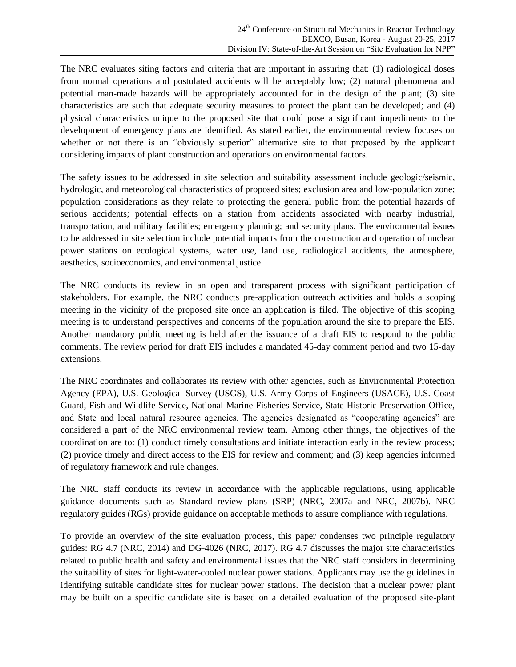The NRC evaluates siting factors and criteria that are important in assuring that: (1) radiological doses from normal operations and postulated accidents will be acceptably low; (2) natural phenomena and potential man-made hazards will be appropriately accounted for in the design of the plant; (3) site characteristics are such that adequate security measures to protect the plant can be developed; and (4) physical characteristics unique to the proposed site that could pose a significant impediments to the development of emergency plans are identified. As stated earlier, the environmental review focuses on whether or not there is an "obviously superior" alternative site to that proposed by the applicant considering impacts of plant construction and operations on environmental factors.

The safety issues to be addressed in site selection and suitability assessment include geologic/seismic, hydrologic, and meteorological characteristics of proposed sites; exclusion area and low-population zone; population considerations as they relate to protecting the general public from the potential hazards of serious accidents; potential effects on a station from accidents associated with nearby industrial, transportation, and military facilities; emergency planning; and security plans. The environmental issues to be addressed in site selection include potential impacts from the construction and operation of nuclear power stations on ecological systems, water use, land use, radiological accidents, the atmosphere, aesthetics, socioeconomics, and environmental justice.

The NRC conducts its review in an open and transparent process with significant participation of stakeholders. For example, the NRC conducts pre-application outreach activities and holds a scoping meeting in the vicinity of the proposed site once an application is filed. The objective of this scoping meeting is to understand perspectives and concerns of the population around the site to prepare the EIS. Another mandatory public meeting is held after the issuance of a draft EIS to respond to the public comments. The review period for draft EIS includes a mandated 45-day comment period and two 15-day extensions.

The NRC coordinates and collaborates its review with other agencies, such as Environmental Protection Agency (EPA), U.S. Geological Survey (USGS), U.S. Army Corps of Engineers (USACE), U.S. Coast Guard, Fish and Wildlife Service, National Marine Fisheries Service, State Historic Preservation Office, and State and local natural resource agencies. The agencies designated as "cooperating agencies" are considered a part of the NRC environmental review team. Among other things, the objectives of the coordination are to: (1) conduct timely consultations and initiate interaction early in the review process; (2) provide timely and direct access to the EIS for review and comment; and (3) keep agencies informed of regulatory framework and rule changes.

The NRC staff conducts its review in accordance with the applicable regulations, using applicable guidance documents such as Standard review plans (SRP) (NRC, 2007a and NRC, 2007b). NRC regulatory guides (RGs) provide guidance on acceptable methods to assure compliance with regulations.

To provide an overview of the site evaluation process, this paper condenses two principle regulatory guides: RG 4.7 (NRC, 2014) and DG-4026 (NRC, 2017). RG 4.7 discusses the major site characteristics related to public health and safety and environmental issues that the NRC staff considers in determining the suitability of sites for light-water-cooled nuclear power stations. Applicants may use the guidelines in identifying suitable candidate sites for nuclear power stations. The decision that a nuclear power plant may be built on a specific candidate site is based on a detailed evaluation of the proposed site-plant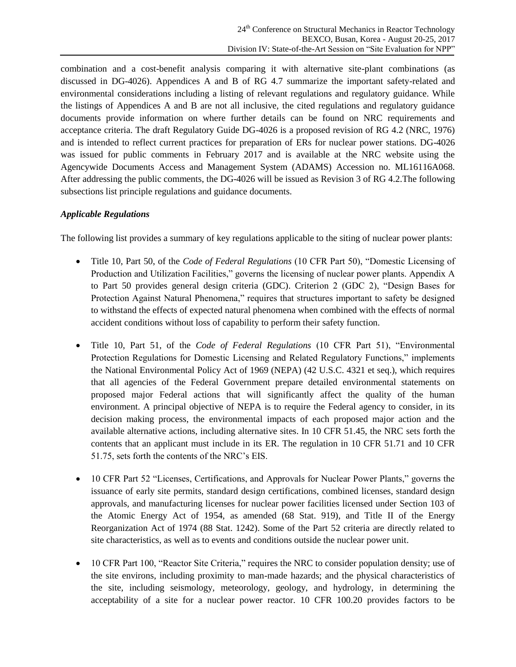combination and a cost-benefit analysis comparing it with alternative site-plant combinations (as discussed in DG-4026). Appendices A and B of RG 4.7 summarize the important safety-related and environmental considerations including a listing of relevant regulations and regulatory guidance. While the listings of Appendices A and B are not all inclusive, the cited regulations and regulatory guidance documents provide information on where further details can be found on NRC requirements and acceptance criteria. The draft Regulatory Guide DG-4026 is a proposed revision of RG 4.2 (NRC, 1976) and is intended to reflect current practices for preparation of ERs for nuclear power stations. DG-4026 was issued for public comments in February 2017 and is available at the NRC website using the Agencywide Documents Access and Management System (ADAMS) Accession no. ML16116A068. After addressing the public comments, the DG-4026 will be issued as Revision 3 of RG 4.2.The following subsections list principle regulations and guidance documents.

# *Applicable Regulations*

The following list provides a summary of key regulations applicable to the siting of nuclear power plants:

- Title 10, Part 50, of the *Code of Federal Regulations* (10 CFR Part 50), "Domestic Licensing of Production and Utilization Facilities," governs the licensing of nuclear power plants. Appendix A to Part 50 provides general design criteria (GDC). Criterion 2 (GDC 2), "Design Bases for Protection Against Natural Phenomena," requires that structures important to safety be designed to withstand the effects of expected natural phenomena when combined with the effects of normal accident conditions without loss of capability to perform their safety function.
- Title 10, Part 51, of the *Code of Federal Regulations* (10 CFR Part 51), "Environmental Protection Regulations for Domestic Licensing and Related Regulatory Functions," implements the National Environmental Policy Act of 1969 (NEPA) (42 U.S.C. 4321 et seq.), which requires that all agencies of the Federal Government prepare detailed environmental statements on proposed major Federal actions that will significantly affect the quality of the human environment. A principal objective of NEPA is to require the Federal agency to consider, in its decision making process, the environmental impacts of each proposed major action and the available alternative actions, including alternative sites. In 10 CFR 51.45, the NRC sets forth the contents that an applicant must include in its ER. The regulation in 10 CFR 51.71 and 10 CFR 51.75, sets forth the contents of the NRC's EIS.
- 10 CFR Part 52 "Licenses, Certifications, and Approvals for Nuclear Power Plants," governs the issuance of early site permits, standard design certifications, combined licenses, standard design approvals, and manufacturing licenses for nuclear power facilities licensed under Section 103 of the Atomic Energy Act of 1954, as amended (68 Stat. 919), and Title II of the Energy Reorganization Act of 1974 (88 Stat. 1242). Some of the Part 52 criteria are directly related to site characteristics, as well as to events and conditions outside the nuclear power unit.
- 10 CFR Part 100, "Reactor Site Criteria," requires the NRC to consider population density; use of the site environs, including proximity to man-made hazards; and the physical characteristics of the site, including seismology, meteorology, geology, and hydrology, in determining the acceptability of a site for a nuclear power reactor. 10 CFR 100.20 provides factors to be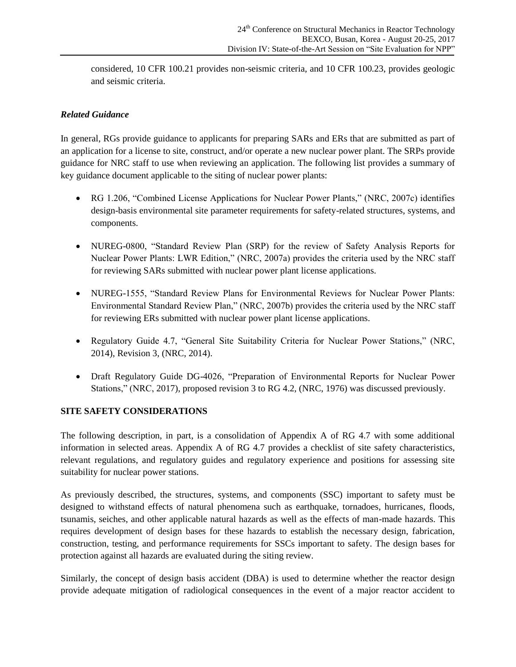considered, 10 CFR 100.21 provides non-seismic criteria, and 10 CFR 100.23, provides geologic and seismic criteria.

# *Related Guidance*

In general, RGs provide guidance to applicants for preparing SARs and ERs that are submitted as part of an application for a license to site, construct, and/or operate a new nuclear power plant. The SRPs provide guidance for NRC staff to use when reviewing an application. The following list provides a summary of key guidance document applicable to the siting of nuclear power plants:

- RG 1.206, "Combined License Applications for Nuclear Power Plants," (NRC, 2007c) identifies design-basis environmental site parameter requirements for safety-related structures, systems, and components.
- NUREG-0800, "Standard Review Plan (SRP) for the review of Safety Analysis Reports for Nuclear Power Plants: LWR Edition," (NRC, 2007a) provides the criteria used by the NRC staff for reviewing SARs submitted with nuclear power plant license applications.
- NUREG-1555, "Standard Review Plans for Environmental Reviews for Nuclear Power Plants: Environmental Standard Review Plan," (NRC, 2007b) provides the criteria used by the NRC staff for reviewing ERs submitted with nuclear power plant license applications.
- Regulatory Guide 4.7, "General Site Suitability Criteria for Nuclear Power Stations," (NRC, 2014), Revision 3, (NRC, 2014).
- Draft Regulatory Guide DG-4026, "Preparation of Environmental Reports for Nuclear Power Stations," (NRC, 2017), proposed revision 3 to RG 4.2, (NRC, 1976) was discussed previously.

#### **SITE SAFETY CONSIDERATIONS**

The following description, in part, is a consolidation of Appendix A of RG 4.7 with some additional information in selected areas. Appendix A of RG 4.7 provides a checklist of site safety characteristics, relevant regulations, and regulatory guides and regulatory experience and positions for assessing site suitability for nuclear power stations.

As previously described, the structures, systems, and components (SSC) important to safety must be designed to withstand effects of natural phenomena such as earthquake, tornadoes, hurricanes, floods, tsunamis, seiches, and other applicable natural hazards as well as the effects of man-made hazards. This requires development of design bases for these hazards to establish the necessary design, fabrication, construction, testing, and performance requirements for SSCs important to safety. The design bases for protection against all hazards are evaluated during the siting review.

Similarly, the concept of design basis accident (DBA) is used to determine whether the reactor design provide adequate mitigation of radiological consequences in the event of a major reactor accident to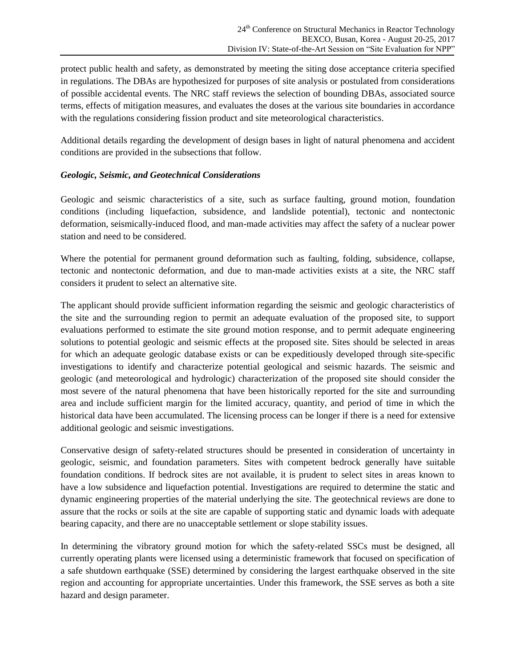protect public health and safety, as demonstrated by meeting the siting dose acceptance criteria specified in regulations. The DBAs are hypothesized for purposes of site analysis or postulated from considerations of possible accidental events. The NRC staff reviews the selection of bounding DBAs, associated source terms, effects of mitigation measures, and evaluates the doses at the various site boundaries in accordance with the regulations considering fission product and site meteorological characteristics.

Additional details regarding the development of design bases in light of natural phenomena and accident conditions are provided in the subsections that follow.

# *Geologic, Seismic, and Geotechnical Considerations*

Geologic and seismic characteristics of a site, such as surface faulting, ground motion, foundation conditions (including liquefaction, subsidence, and landslide potential), tectonic and nontectonic deformation, seismically-induced flood, and man-made activities may affect the safety of a nuclear power station and need to be considered.

Where the potential for permanent ground deformation such as faulting, folding, subsidence, collapse, tectonic and nontectonic deformation, and due to man-made activities exists at a site, the NRC staff considers it prudent to select an alternative site.

The applicant should provide sufficient information regarding the seismic and geologic characteristics of the site and the surrounding region to permit an adequate evaluation of the proposed site, to support evaluations performed to estimate the site ground motion response, and to permit adequate engineering solutions to potential geologic and seismic effects at the proposed site. Sites should be selected in areas for which an adequate geologic database exists or can be expeditiously developed through site-specific investigations to identify and characterize potential geological and seismic hazards. The seismic and geologic (and meteorological and hydrologic) characterization of the proposed site should consider the most severe of the natural phenomena that have been historically reported for the site and surrounding area and include sufficient margin for the limited accuracy, quantity, and period of time in which the historical data have been accumulated. The licensing process can be longer if there is a need for extensive additional geologic and seismic investigations.

Conservative design of safety-related structures should be presented in consideration of uncertainty in geologic, seismic, and foundation parameters. Sites with competent bedrock generally have suitable foundation conditions. If bedrock sites are not available, it is prudent to select sites in areas known to have a low subsidence and liquefaction potential. Investigations are required to determine the static and dynamic engineering properties of the material underlying the site. The geotechnical reviews are done to assure that the rocks or soils at the site are capable of supporting static and dynamic loads with adequate bearing capacity, and there are no unacceptable settlement or slope stability issues.

In determining the vibratory ground motion for which the safety-related SSCs must be designed, all currently operating plants were licensed using a deterministic framework that focused on specification of a safe shutdown earthquake (SSE) determined by considering the largest earthquake observed in the site region and accounting for appropriate uncertainties. Under this framework, the SSE serves as both a site hazard and design parameter.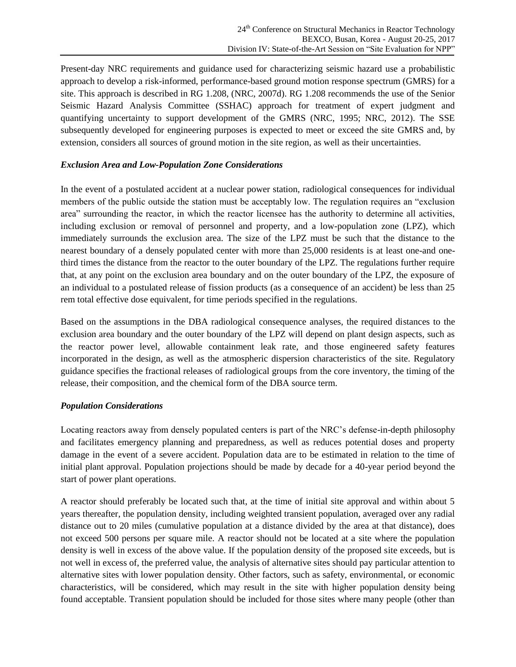Present-day NRC requirements and guidance used for characterizing seismic hazard use a probabilistic approach to develop a risk-informed, performance-based ground motion response spectrum (GMRS) for a site. This approach is described in RG 1.208, (NRC, 2007d). RG 1.208 recommends the use of the Senior Seismic Hazard Analysis Committee (SSHAC) approach for treatment of expert judgment and quantifying uncertainty to support development of the GMRS (NRC, 1995; NRC, 2012). The SSE subsequently developed for engineering purposes is expected to meet or exceed the site GMRS and, by extension, considers all sources of ground motion in the site region, as well as their uncertainties.

# *Exclusion Area and Low-Population Zone Considerations*

In the event of a postulated accident at a nuclear power station, radiological consequences for individual members of the public outside the station must be acceptably low. The regulation requires an "exclusion area" surrounding the reactor, in which the reactor licensee has the authority to determine all activities, including exclusion or removal of personnel and property, and a low-population zone (LPZ), which immediately surrounds the exclusion area. The size of the LPZ must be such that the distance to the nearest boundary of a densely populated center with more than 25,000 residents is at least one-and onethird times the distance from the reactor to the outer boundary of the LPZ. The regulations further require that, at any point on the exclusion area boundary and on the outer boundary of the LPZ, the exposure of an individual to a postulated release of fission products (as a consequence of an accident) be less than 25 rem total effective dose equivalent, for time periods specified in the regulations.

Based on the assumptions in the DBA radiological consequence analyses, the required distances to the exclusion area boundary and the outer boundary of the LPZ will depend on plant design aspects, such as the reactor power level, allowable containment leak rate, and those engineered safety features incorporated in the design, as well as the atmospheric dispersion characteristics of the site. Regulatory guidance specifies the fractional releases of radiological groups from the core inventory, the timing of the release, their composition, and the chemical form of the DBA source term.

#### *Population Considerations*

Locating reactors away from densely populated centers is part of the NRC's defense-in-depth philosophy and facilitates emergency planning and preparedness, as well as reduces potential doses and property damage in the event of a severe accident. Population data are to be estimated in relation to the time of initial plant approval. Population projections should be made by decade for a 40-year period beyond the start of power plant operations.

A reactor should preferably be located such that, at the time of initial site approval and within about 5 years thereafter, the population density, including weighted transient population, averaged over any radial distance out to 20 miles (cumulative population at a distance divided by the area at that distance), does not exceed 500 persons per square mile. A reactor should not be located at a site where the population density is well in excess of the above value. If the population density of the proposed site exceeds, but is not well in excess of, the preferred value, the analysis of alternative sites should pay particular attention to alternative sites with lower population density. Other factors, such as safety, environmental, or economic characteristics, will be considered, which may result in the site with higher population density being found acceptable. Transient population should be included for those sites where many people (other than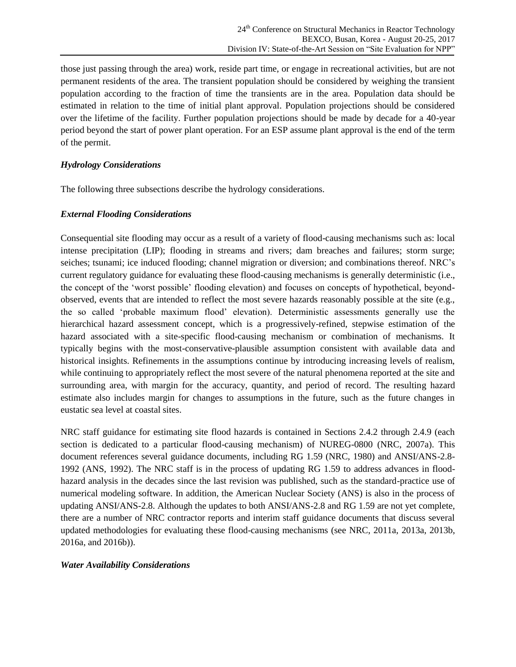those just passing through the area) work, reside part time, or engage in recreational activities, but are not permanent residents of the area. The transient population should be considered by weighing the transient population according to the fraction of time the transients are in the area. Population data should be estimated in relation to the time of initial plant approval. Population projections should be considered over the lifetime of the facility. Further population projections should be made by decade for a 40-year period beyond the start of power plant operation. For an ESP assume plant approval is the end of the term of the permit.

#### *Hydrology Considerations*

The following three subsections describe the hydrology considerations.

# *External Flooding Considerations*

Consequential site flooding may occur as a result of a variety of flood-causing mechanisms such as: local intense precipitation (LIP); flooding in streams and rivers; dam breaches and failures; storm surge; seiches; tsunami; ice induced flooding; channel migration or diversion; and combinations thereof. NRC's current regulatory guidance for evaluating these flood-causing mechanisms is generally deterministic (i.e., the concept of the 'worst possible' flooding elevation) and focuses on concepts of hypothetical, beyondobserved, events that are intended to reflect the most severe hazards reasonably possible at the site (e.g., the so called 'probable maximum flood' elevation). Deterministic assessments generally use the hierarchical hazard assessment concept, which is a progressively-refined, stepwise estimation of the hazard associated with a site-specific flood-causing mechanism or combination of mechanisms. It typically begins with the most-conservative-plausible assumption consistent with available data and historical insights. Refinements in the assumptions continue by introducing increasing levels of realism, while continuing to appropriately reflect the most severe of the natural phenomena reported at the site and surrounding area, with margin for the accuracy, quantity, and period of record. The resulting hazard estimate also includes margin for changes to assumptions in the future, such as the future changes in eustatic sea level at coastal sites.

NRC staff guidance for estimating site flood hazards is contained in Sections 2.4.2 through 2.4.9 (each section is dedicated to a particular flood-causing mechanism) of NUREG-0800 (NRC, 2007a). This document references several guidance documents, including RG 1.59 (NRC, 1980) and ANSI/ANS-2.8- 1992 (ANS, 1992). The NRC staff is in the process of updating RG 1.59 to address advances in floodhazard analysis in the decades since the last revision was published, such as the standard-practice use of numerical modeling software. In addition, the American Nuclear Society (ANS) is also in the process of updating ANSI/ANS-2.8. Although the updates to both ANSI/ANS-2.8 and RG 1.59 are not yet complete, there are a number of NRC contractor reports and interim staff guidance documents that discuss several updated methodologies for evaluating these flood-causing mechanisms (see NRC, 2011a, 2013a, 2013b, 2016a, and 2016b)).

#### *Water Availability Considerations*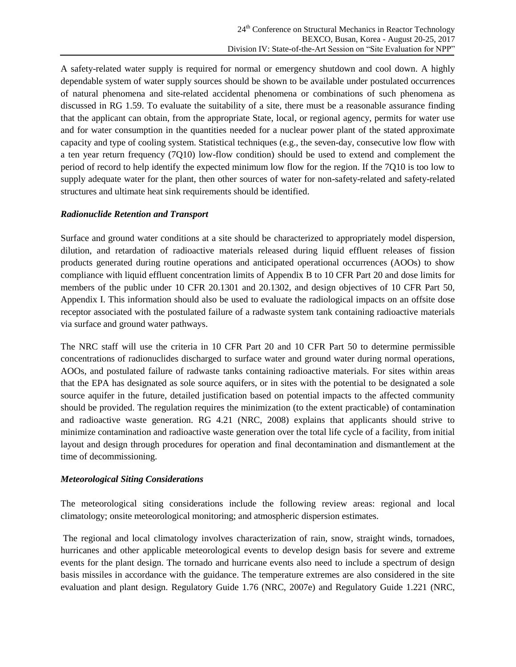A safety-related water supply is required for normal or emergency shutdown and cool down. A highly dependable system of water supply sources should be shown to be available under postulated occurrences of natural phenomena and site-related accidental phenomena or combinations of such phenomena as discussed in RG 1.59. To evaluate the suitability of a site, there must be a reasonable assurance finding that the applicant can obtain, from the appropriate State, local, or regional agency, permits for water use and for water consumption in the quantities needed for a nuclear power plant of the stated approximate capacity and type of cooling system. Statistical techniques (e.g., the seven-day, consecutive low flow with a ten year return frequency (7Q10) low-flow condition) should be used to extend and complement the period of record to help identify the expected minimum low flow for the region. If the 7Q10 is too low to supply adequate water for the plant, then other sources of water for non-safety-related and safety-related structures and ultimate heat sink requirements should be identified.

#### *Radionuclide Retention and Transport*

Surface and ground water conditions at a site should be characterized to appropriately model dispersion, dilution, and retardation of radioactive materials released during liquid effluent releases of fission products generated during routine operations and anticipated operational occurrences (AOOs) to show compliance with liquid effluent concentration limits of Appendix B to 10 CFR Part 20 and dose limits for members of the public under 10 CFR 20.1301 and 20.1302, and design objectives of 10 CFR Part 50, Appendix I. This information should also be used to evaluate the radiological impacts on an offsite dose receptor associated with the postulated failure of a radwaste system tank containing radioactive materials via surface and ground water pathways.

The NRC staff will use the criteria in 10 CFR Part 20 and 10 CFR Part 50 to determine permissible concentrations of radionuclides discharged to surface water and ground water during normal operations, AOOs, and postulated failure of radwaste tanks containing radioactive materials. For sites within areas that the EPA has designated as sole source aquifers, or in sites with the potential to be designated a sole source aquifer in the future, detailed justification based on potential impacts to the affected community should be provided. The regulation requires the minimization (to the extent practicable) of contamination and radioactive waste generation. RG 4.21 (NRC, 2008) explains that applicants should strive to minimize contamination and radioactive waste generation over the total life cycle of a facility, from initial layout and design through procedures for operation and final decontamination and dismantlement at the time of decommissioning.

#### *Meteorological Siting Considerations*

The meteorological siting considerations include the following review areas: regional and local climatology; onsite meteorological monitoring; and atmospheric dispersion estimates.

The regional and local climatology involves characterization of rain, snow, straight winds, tornadoes, hurricanes and other applicable meteorological events to develop design basis for severe and extreme events for the plant design. The tornado and hurricane events also need to include a spectrum of design basis missiles in accordance with the guidance. The temperature extremes are also considered in the site evaluation and plant design. Regulatory Guide 1.76 (NRC, 2007e) and Regulatory Guide 1.221 (NRC,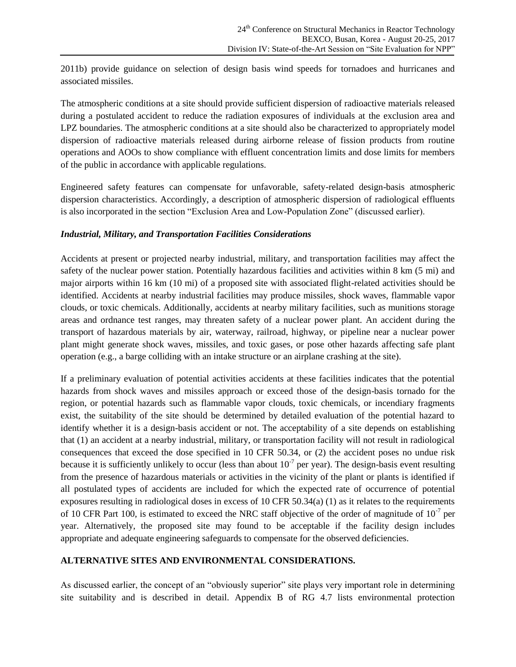2011b) provide guidance on selection of design basis wind speeds for tornadoes and hurricanes and associated missiles.

The atmospheric conditions at a site should provide sufficient dispersion of radioactive materials released during a postulated accident to reduce the radiation exposures of individuals at the exclusion area and LPZ boundaries. The atmospheric conditions at a site should also be characterized to appropriately model dispersion of radioactive materials released during airborne release of fission products from routine operations and AOOs to show compliance with effluent concentration limits and dose limits for members of the public in accordance with applicable regulations.

Engineered safety features can compensate for unfavorable, safety-related design-basis atmospheric dispersion characteristics. Accordingly, a description of atmospheric dispersion of radiological effluents is also incorporated in the section "Exclusion Area and Low-Population Zone" (discussed earlier).

#### *Industrial, Military, and Transportation Facilities Considerations*

Accidents at present or projected nearby industrial, military, and transportation facilities may affect the safety of the nuclear power station. Potentially hazardous facilities and activities within 8 km (5 mi) and major airports within 16 km (10 mi) of a proposed site with associated flight-related activities should be identified. Accidents at nearby industrial facilities may produce missiles, shock waves, flammable vapor clouds, or toxic chemicals. Additionally, accidents at nearby military facilities, such as munitions storage areas and ordnance test ranges, may threaten safety of a nuclear power plant. An accident during the transport of hazardous materials by air, waterway, railroad, highway, or pipeline near a nuclear power plant might generate shock waves, missiles, and toxic gases, or pose other hazards affecting safe plant operation (e.g., a barge colliding with an intake structure or an airplane crashing at the site).

If a preliminary evaluation of potential activities accidents at these facilities indicates that the potential hazards from shock waves and missiles approach or exceed those of the design-basis tornado for the region, or potential hazards such as flammable vapor clouds, toxic chemicals, or incendiary fragments exist, the suitability of the site should be determined by detailed evaluation of the potential hazard to identify whether it is a design-basis accident or not. The acceptability of a site depends on establishing that (1) an accident at a nearby industrial, military, or transportation facility will not result in radiological consequences that exceed the dose specified in 10 CFR 50.34, or (2) the accident poses no undue risk because it is sufficiently unlikely to occur (less than about  $10^{-7}$  per year). The design-basis event resulting from the presence of hazardous materials or activities in the vicinity of the plant or plants is identified if all postulated types of accidents are included for which the expected rate of occurrence of potential exposures resulting in radiological doses in excess of 10 CFR 50.34(a) (1) as it relates to the requirements of 10 CFR Part 100, is estimated to exceed the NRC staff objective of the order of magnitude of  $10^{-7}$  per year. Alternatively, the proposed site may found to be acceptable if the facility design includes appropriate and adequate engineering safeguards to compensate for the observed deficiencies.

#### **ALTERNATIVE SITES AND ENVIRONMENTAL CONSIDERATIONS.**

As discussed earlier, the concept of an "obviously superior" site plays very important role in determining site suitability and is described in detail. Appendix B of RG 4.7 lists environmental protection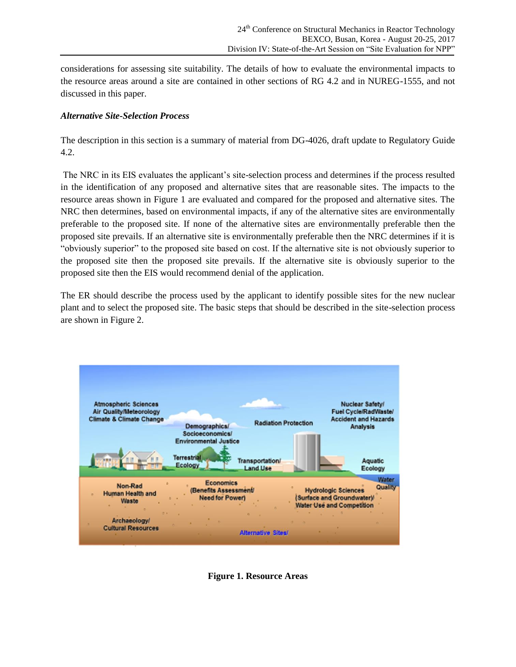considerations for assessing site suitability. The details of how to evaluate the environmental impacts to the resource areas around a site are contained in other sections of RG 4.2 and in NUREG-1555, and not discussed in this paper.

# *Alternative Site-Selection Process*

The description in this section is a summary of material from DG-4026, draft update to Regulatory Guide 4.2.

The NRC in its EIS evaluates the applicant's site-selection process and determines if the process resulted in the identification of any proposed and alternative sites that are reasonable sites. The impacts to the resource areas shown in Figure 1 are evaluated and compared for the proposed and alternative sites. The NRC then determines, based on environmental impacts, if any of the alternative sites are environmentally preferable to the proposed site. If none of the alternative sites are environmentally preferable then the proposed site prevails. If an alternative site is environmentally preferable then the NRC determines if it is "obviously superior" to the proposed site based on cost. If the alternative site is not obviously superior to the proposed site then the proposed site prevails. If the alternative site is obviously superior to the proposed site then the EIS would recommend denial of the application.

The ER should describe the process used by the applicant to identify possible sites for the new nuclear plant and to select the proposed site. The basic steps that should be described in the site-selection process are shown in Figure 2.



**Figure 1. Resource Areas**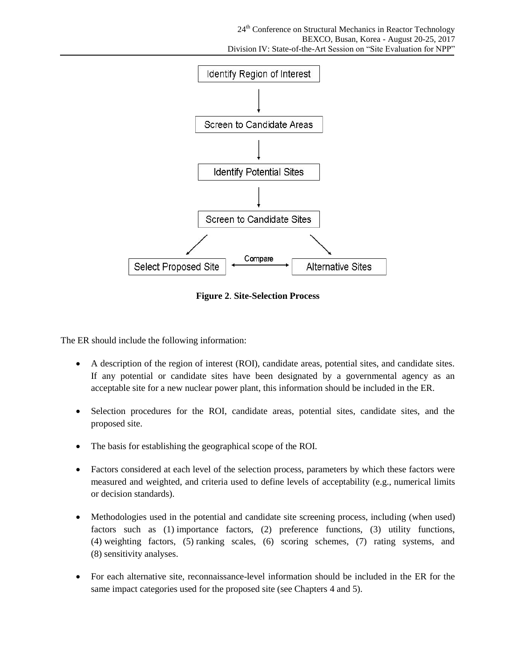

**Figure 2**. **Site-Selection Process**

The ER should include the following information:

- A description of the region of interest (ROI), candidate areas, potential sites, and candidate sites. If any potential or candidate sites have been designated by a governmental agency as an acceptable site for a new nuclear power plant, this information should be included in the ER.
- Selection procedures for the ROI, candidate areas, potential sites, candidate sites, and the proposed site.
- The basis for establishing the geographical scope of the ROI.
- Factors considered at each level of the selection process, parameters by which these factors were measured and weighted, and criteria used to define levels of acceptability (e.g., numerical limits or decision standards).
- Methodologies used in the potential and candidate site screening process, including (when used) factors such as (1) importance factors, (2) preference functions, (3) utility functions, (4) weighting factors, (5) ranking scales, (6) scoring schemes, (7) rating systems, and (8) sensitivity analyses.
- For each alternative site, reconnaissance-level information should be included in the ER for the same impact categories used for the proposed site (see Chapters 4 and 5).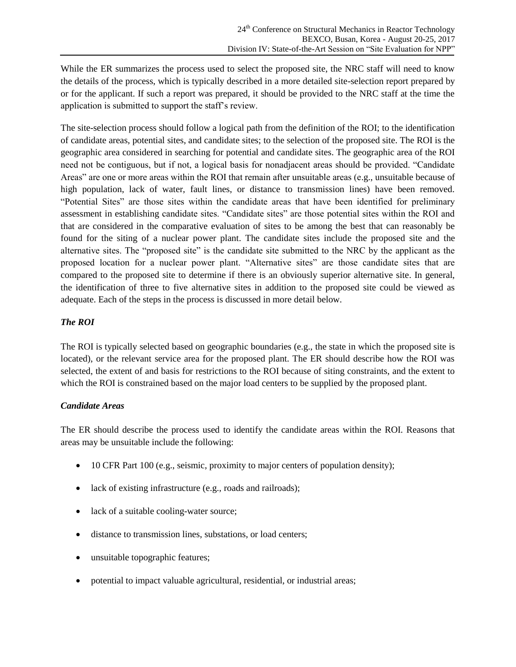While the ER summarizes the process used to select the proposed site, the NRC staff will need to know the details of the process, which is typically described in a more detailed site-selection report prepared by or for the applicant. If such a report was prepared, it should be provided to the NRC staff at the time the application is submitted to support the staff's review.

The site-selection process should follow a logical path from the definition of the ROI; to the identification of candidate areas, potential sites, and candidate sites; to the selection of the proposed site. The ROI is the geographic area considered in searching for potential and candidate sites. The geographic area of the ROI need not be contiguous, but if not, a logical basis for nonadjacent areas should be provided. "Candidate Areas" are one or more areas within the ROI that remain after unsuitable areas (e.g., unsuitable because of high population, lack of water, fault lines, or distance to transmission lines) have been removed. "Potential Sites" are those sites within the candidate areas that have been identified for preliminary assessment in establishing candidate sites. "Candidate sites" are those potential sites within the ROI and that are considered in the comparative evaluation of sites to be among the best that can reasonably be found for the siting of a nuclear power plant. The candidate sites include the proposed site and the alternative sites. The "proposed site" is the candidate site submitted to the NRC by the applicant as the proposed location for a nuclear power plant. "Alternative sites" are those candidate sites that are compared to the proposed site to determine if there is an obviously superior alternative site. In general, the identification of three to five alternative sites in addition to the proposed site could be viewed as adequate. Each of the steps in the process is discussed in more detail below.

# *The ROI*

The ROI is typically selected based on geographic boundaries (e.g., the state in which the proposed site is located), or the relevant service area for the proposed plant. The ER should describe how the ROI was selected, the extent of and basis for restrictions to the ROI because of siting constraints, and the extent to which the ROI is constrained based on the major load centers to be supplied by the proposed plant.

#### *Candidate Areas*

The ER should describe the process used to identify the candidate areas within the ROI. Reasons that areas may be unsuitable include the following:

- 10 CFR Part 100 (e.g., seismic, proximity to major centers of population density);
- lack of existing infrastructure (e.g., roads and railroads);
- lack of a suitable cooling-water source;
- distance to transmission lines, substations, or load centers;
- unsuitable topographic features;
- potential to impact valuable agricultural, residential, or industrial areas;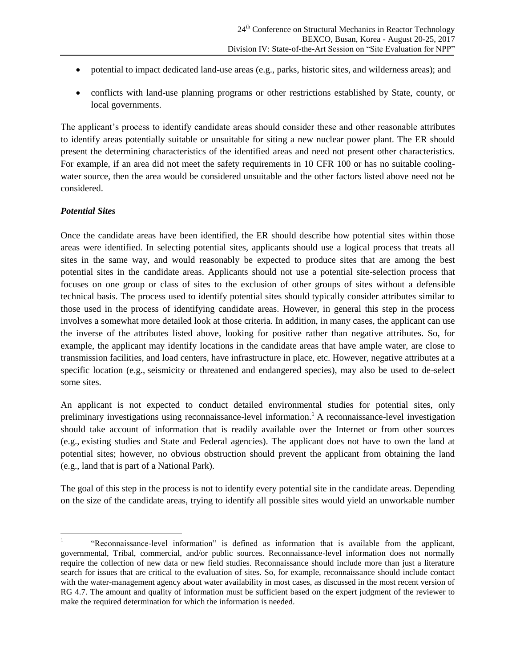- potential to impact dedicated land-use areas (e.g., parks, historic sites, and wilderness areas); and
- conflicts with land-use planning programs or other restrictions established by State, county, or local governments.

The applicant's process to identify candidate areas should consider these and other reasonable attributes to identify areas potentially suitable or unsuitable for siting a new nuclear power plant. The ER should present the determining characteristics of the identified areas and need not present other characteristics. For example, if an area did not meet the safety requirements in 10 CFR 100 or has no suitable coolingwater source, then the area would be considered unsuitable and the other factors listed above need not be considered.

# *Potential Sites*

Once the candidate areas have been identified, the ER should describe how potential sites within those areas were identified. In selecting potential sites, applicants should use a logical process that treats all sites in the same way, and would reasonably be expected to produce sites that are among the best potential sites in the candidate areas. Applicants should not use a potential site-selection process that focuses on one group or class of sites to the exclusion of other groups of sites without a defensible technical basis. The process used to identify potential sites should typically consider attributes similar to those used in the process of identifying candidate areas. However, in general this step in the process involves a somewhat more detailed look at those criteria. In addition, in many cases, the applicant can use the inverse of the attributes listed above, looking for positive rather than negative attributes. So, for example, the applicant may identify locations in the candidate areas that have ample water, are close to transmission facilities, and load centers, have infrastructure in place, etc. However, negative attributes at a specific location (e.g., seismicity or threatened and endangered species), may also be used to de-select some sites.

An applicant is not expected to conduct detailed environmental studies for potential sites, only preliminary investigations using reconnaissance-level information.<sup>1</sup> A reconnaissance-level investigation should take account of information that is readily available over the Internet or from other sources (e.g., existing studies and State and Federal agencies). The applicant does not have to own the land at potential sites; however, no obvious obstruction should prevent the applicant from obtaining the land (e.g., land that is part of a National Park).

The goal of this step in the process is not to identify every potential site in the candidate areas. Depending on the size of the candidate areas, trying to identify all possible sites would yield an unworkable number

 $\overline{a}$ 1 "Reconnaissance-level information" is defined as information that is available from the applicant, governmental, Tribal, commercial, and/or public sources. Reconnaissance-level information does not normally require the collection of new data or new field studies. Reconnaissance should include more than just a literature search for issues that are critical to the evaluation of sites. So, for example, reconnaissance should include contact with the water-management agency about water availability in most cases, as discussed in the most recent version of RG 4.7. The amount and quality of information must be sufficient based on the expert judgment of the reviewer to make the required determination for which the information is needed.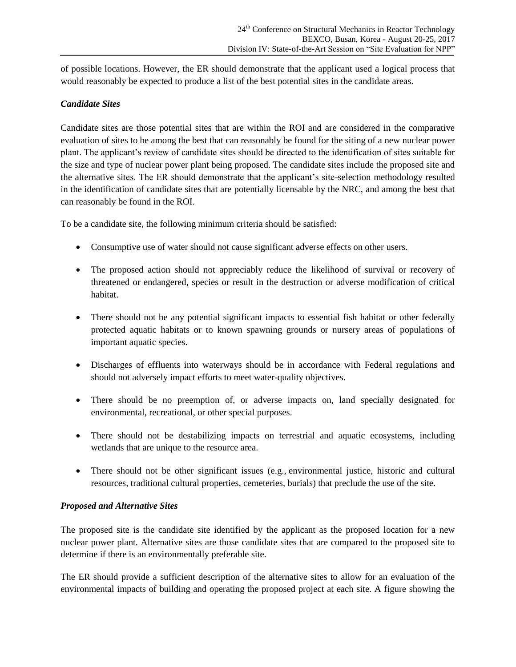of possible locations. However, the ER should demonstrate that the applicant used a logical process that would reasonably be expected to produce a list of the best potential sites in the candidate areas.

#### *Candidate Sites*

Candidate sites are those potential sites that are within the ROI and are considered in the comparative evaluation of sites to be among the best that can reasonably be found for the siting of a new nuclear power plant. The applicant's review of candidate sites should be directed to the identification of sites suitable for the size and type of nuclear power plant being proposed. The candidate sites include the proposed site and the alternative sites. The ER should demonstrate that the applicant's site-selection methodology resulted in the identification of candidate sites that are potentially licensable by the NRC, and among the best that can reasonably be found in the ROI.

To be a candidate site, the following minimum criteria should be satisfied:

- Consumptive use of water should not cause significant adverse effects on other users.
- The proposed action should not appreciably reduce the likelihood of survival or recovery of threatened or endangered, species or result in the destruction or adverse modification of critical habitat.
- There should not be any potential significant impacts to essential fish habitat or other federally protected aquatic habitats or to known spawning grounds or nursery areas of populations of important aquatic species.
- Discharges of effluents into waterways should be in accordance with Federal regulations and should not adversely impact efforts to meet water-quality objectives.
- There should be no preemption of, or adverse impacts on, land specially designated for environmental, recreational, or other special purposes.
- There should not be destabilizing impacts on terrestrial and aquatic ecosystems, including wetlands that are unique to the resource area.
- There should not be other significant issues (e.g., environmental justice, historic and cultural resources, traditional cultural properties, cemeteries, burials) that preclude the use of the site.

# *Proposed and Alternative Sites*

The proposed site is the candidate site identified by the applicant as the proposed location for a new nuclear power plant. Alternative sites are those candidate sites that are compared to the proposed site to determine if there is an environmentally preferable site.

The ER should provide a sufficient description of the alternative sites to allow for an evaluation of the environmental impacts of building and operating the proposed project at each site. A figure showing the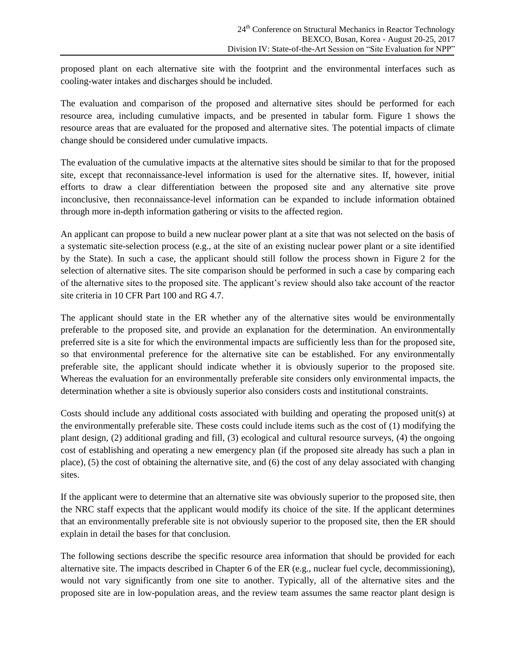proposed plant on each alternative site with the footprint and the environmental interfaces such as cooling-water intakes and discharges should be included.

The evaluation and comparison of the proposed and alternative sites should be performed for each resource area, including cumulative impacts, and be presented in tabular form. Figure 1 shows the resource areas that are evaluated for the proposed and alternative sites. The potential impacts of climate change should be considered under cumulative impacts.

The evaluation of the cumulative impacts at the alternative sites should be similar to that for the proposed site, except that reconnaissance-level information is used for the alternative sites. If, however, initial efforts to draw a clear differentiation between the proposed site and any alternative site prove inconclusive, then reconnaissance-level information can be expanded to include information obtained through more in-depth information gathering or visits to the affected region.

An applicant can propose to build a new nuclear power plant at a site that was not selected on the basis of a systematic site-selection process (e.g., at the site of an existing nuclear power plant or a site identified by the State). In such a case, the applicant should still follow the process shown in Figure 2 for the selection of alternative sites. The site comparison should be performed in such a case by comparing each of the alternative sites to the proposed site. The applicant's review should also take account of the reactor site criteria in 10 CFR Part 100 and RG 4.7.

The applicant should state in the ER whether any of the alternative sites would be environmentally preferable to the proposed site, and provide an explanation for the determination. An environmentally preferred site is a site for which the environmental impacts are sufficiently less than for the proposed site, so that environmental preference for the alternative site can be established. For any environmentally preferable site, the applicant should indicate whether it is obviously superior to the proposed site. Whereas the evaluation for an environmentally preferable site considers only environmental impacts, the determination whether a site is obviously superior also considers costs and institutional constraints.

Costs should include any additional costs associated with building and operating the proposed unit(s) at the environmentally preferable site. These costs could include items such as the cost of (1) modifying the plant design, (2) additional grading and fill, (3) ecological and cultural resource surveys, (4) the ongoing cost of establishing and operating a new emergency plan (if the proposed site already has such a plan in place), (5) the cost of obtaining the alternative site, and (6) the cost of any delay associated with changing sites.

If the applicant were to determine that an alternative site was obviously superior to the proposed site, then the NRC staff expects that the applicant would modify its choice of the site. If the applicant determines that an environmentally preferable site is not obviously superior to the proposed site, then the ER should explain in detail the bases for that conclusion.

The following sections describe the specific resource area information that should be provided for each alternative site. The impacts described in Chapter 6 of the ER (e.g., nuclear fuel cycle, decommissioning), would not vary significantly from one site to another. Typically, all of the alternative sites and the proposed site are in low-population areas, and the review team assumes the same reactor plant design is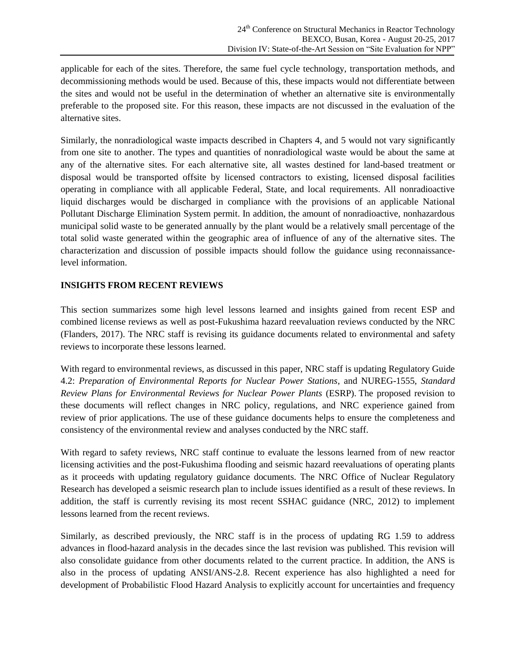applicable for each of the sites. Therefore, the same fuel cycle technology, transportation methods, and decommissioning methods would be used. Because of this, these impacts would not differentiate between the sites and would not be useful in the determination of whether an alternative site is environmentally preferable to the proposed site. For this reason, these impacts are not discussed in the evaluation of the alternative sites.

Similarly, the nonradiological waste impacts described in Chapters 4, and 5 would not vary significantly from one site to another. The types and quantities of nonradiological waste would be about the same at any of the alternative sites. For each alternative site, all wastes destined for land-based treatment or disposal would be transported offsite by licensed contractors to existing, licensed disposal facilities operating in compliance with all applicable Federal, State, and local requirements. All nonradioactive liquid discharges would be discharged in compliance with the provisions of an applicable National Pollutant Discharge Elimination System permit. In addition, the amount of nonradioactive, nonhazardous municipal solid waste to be generated annually by the plant would be a relatively small percentage of the total solid waste generated within the geographic area of influence of any of the alternative sites. The characterization and discussion of possible impacts should follow the guidance using reconnaissancelevel information.

# **INSIGHTS FROM RECENT REVIEWS**

This section summarizes some high level lessons learned and insights gained from recent ESP and combined license reviews as well as post-Fukushima hazard reevaluation reviews conducted by the NRC (Flanders, 2017). The NRC staff is revising its guidance documents related to environmental and safety reviews to incorporate these lessons learned.

With regard to environmental reviews, as discussed in this paper, NRC staff is updating Regulatory Guide 4.2: *Preparation of Environmental Reports for Nuclear Power Stations*, and NUREG-1555, *Standard Review Plans for Environmental Reviews for Nuclear Power Plants* (ESRP). The proposed revision to these documents will reflect changes in NRC policy, regulations, and NRC experience gained from review of prior applications. The use of these guidance documents helps to ensure the completeness and consistency of the environmental review and analyses conducted by the NRC staff.

With regard to safety reviews, NRC staff continue to evaluate the lessons learned from of new reactor licensing activities and the post-Fukushima flooding and seismic hazard reevaluations of operating plants as it proceeds with updating regulatory guidance documents. The NRC Office of Nuclear Regulatory Research has developed a seismic research plan to include issues identified as a result of these reviews. In addition, the staff is currently revising its most recent SSHAC guidance (NRC, 2012) to implement lessons learned from the recent reviews.

Similarly, as described previously, the NRC staff is in the process of updating RG 1.59 to address advances in flood-hazard analysis in the decades since the last revision was published. This revision will also consolidate guidance from other documents related to the current practice. In addition, the ANS is also in the process of updating ANSI/ANS-2.8. Recent experience has also highlighted a need for development of Probabilistic Flood Hazard Analysis to explicitly account for uncertainties and frequency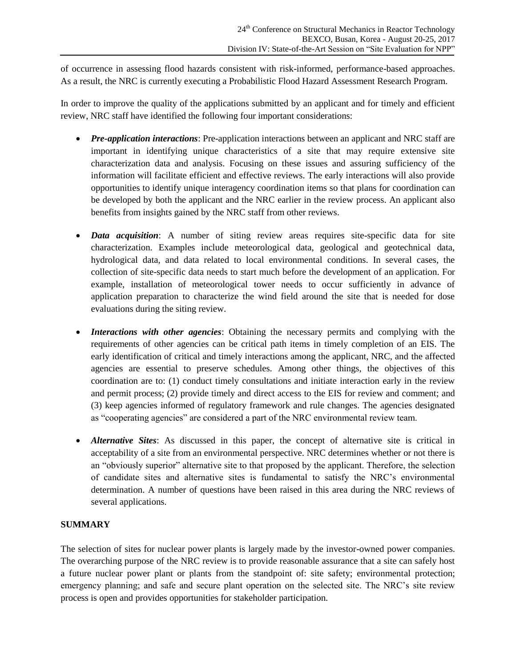of occurrence in assessing flood hazards consistent with risk-informed, performance-based approaches. As a result, the NRC is currently executing a Probabilistic Flood Hazard Assessment Research Program.

In order to improve the quality of the applications submitted by an applicant and for timely and efficient review, NRC staff have identified the following four important considerations:

- *Pre-application interactions*: Pre-application interactions between an applicant and NRC staff are important in identifying unique characteristics of a site that may require extensive site characterization data and analysis. Focusing on these issues and assuring sufficiency of the information will facilitate efficient and effective reviews. The early interactions will also provide opportunities to identify unique interagency coordination items so that plans for coordination can be developed by both the applicant and the NRC earlier in the review process. An applicant also benefits from insights gained by the NRC staff from other reviews.
- *Data acquisition*: A number of siting review areas requires site-specific data for site characterization. Examples include meteorological data, geological and geotechnical data, hydrological data, and data related to local environmental conditions. In several cases, the collection of site-specific data needs to start much before the development of an application. For example, installation of meteorological tower needs to occur sufficiently in advance of application preparation to characterize the wind field around the site that is needed for dose evaluations during the siting review.
- *Interactions with other agencies*: Obtaining the necessary permits and complying with the requirements of other agencies can be critical path items in timely completion of an EIS. The early identification of critical and timely interactions among the applicant, NRC, and the affected agencies are essential to preserve schedules. Among other things, the objectives of this coordination are to: (1) conduct timely consultations and initiate interaction early in the review and permit process; (2) provide timely and direct access to the EIS for review and comment; and (3) keep agencies informed of regulatory framework and rule changes. The agencies designated as "cooperating agencies" are considered a part of the NRC environmental review team.
- *Alternative Sites*: As discussed in this paper, the concept of alternative site is critical in acceptability of a site from an environmental perspective. NRC determines whether or not there is an "obviously superior" alternative site to that proposed by the applicant. Therefore, the selection of candidate sites and alternative sites is fundamental to satisfy the NRC's environmental determination. A number of questions have been raised in this area during the NRC reviews of several applications.

# **SUMMARY**

The selection of sites for nuclear power plants is largely made by the investor-owned power companies. The overarching purpose of the NRC review is to provide reasonable assurance that a site can safely host a future nuclear power plant or plants from the standpoint of: site safety; environmental protection; emergency planning; and safe and secure plant operation on the selected site. The NRC's site review process is open and provides opportunities for stakeholder participation.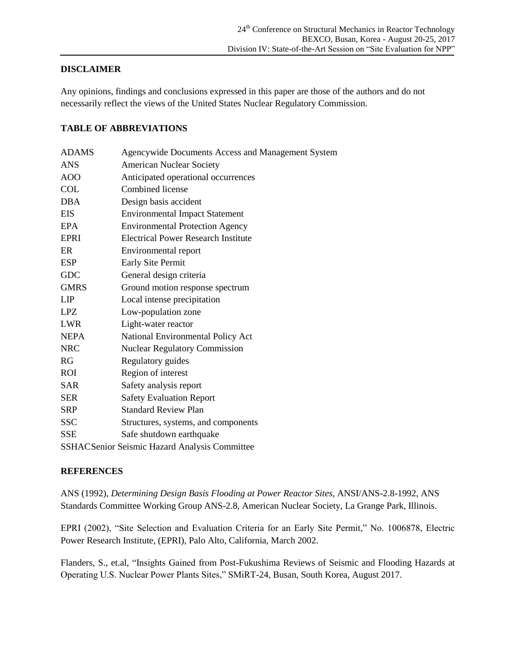# **DISCLAIMER**

Any opinions, findings and conclusions expressed in this paper are those of the authors and do not necessarily reflect the views of the United States Nuclear Regulatory Commission.

#### **TABLE OF ABBREVIATIONS**

| <b>ADAMS</b>                                  | Agencywide Documents Access and Management System |
|-----------------------------------------------|---------------------------------------------------|
| <b>ANS</b>                                    | <b>American Nuclear Society</b>                   |
| AOO                                           | Anticipated operational occurrences               |
| <b>COL</b>                                    | Combined license                                  |
| <b>DBA</b>                                    | Design basis accident                             |
| <b>EIS</b>                                    | <b>Environmental Impact Statement</b>             |
| EPA                                           | <b>Environmental Protection Agency</b>            |
| <b>EPRI</b>                                   | <b>Electrical Power Research Institute</b>        |
| ER                                            | Environmental report                              |
| <b>ESP</b>                                    | Early Site Permit                                 |
| <b>GDC</b>                                    | General design criteria                           |
| <b>GMRS</b>                                   | Ground motion response spectrum                   |
| LIP                                           | Local intense precipitation                       |
| <b>LPZ</b>                                    | Low-population zone                               |
| <b>LWR</b>                                    | Light-water reactor                               |
| <b>NEPA</b>                                   | National Environmental Policy Act                 |
| <b>NRC</b>                                    | <b>Nuclear Regulatory Commission</b>              |
| RG                                            | Regulatory guides                                 |
| ROI                                           | Region of interest                                |
| <b>SAR</b>                                    | Safety analysis report                            |
| <b>SER</b>                                    | <b>Safety Evaluation Report</b>                   |
| <b>SRP</b>                                    | <b>Standard Review Plan</b>                       |
| <b>SSC</b>                                    | Structures, systems, and components               |
| SSE                                           | Safe shutdown earthquake                          |
| SSHACSenior Seismic Hazard Analysis Committee |                                                   |

#### **REFERENCES**

ANS (1992), *Determining Design Basis Flooding at Power Reactor Sites*, ANSI/ANS-2.8-1992, ANS Standards Committee Working Group ANS-2.8, American Nuclear Society, La Grange Park, Illinois.

EPRI (2002), "Site Selection and Evaluation Criteria for an Early Site Permit," No. 1006878, Electric Power Research Institute, (EPRI), Palo Alto, California, March 2002.

Flanders, S., et.al, "Insights Gained from Post-Fukushima Reviews of Seismic and Flooding Hazards at Operating U.S. Nuclear Power Plants Sites," SMiRT-24, Busan, South Korea, August 2017.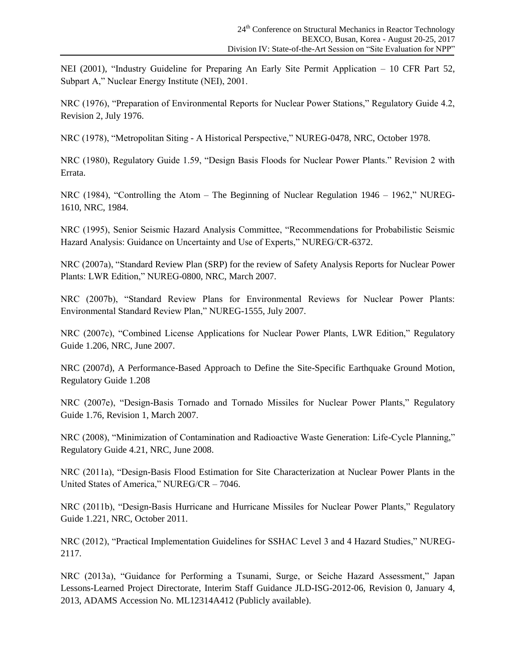NEI (2001), "Industry Guideline for Preparing An Early Site Permit Application – 10 CFR Part 52, Subpart A," Nuclear Energy Institute (NEI), 2001.

NRC (1976), "Preparation of Environmental Reports for Nuclear Power Stations," Regulatory Guide 4.2, Revision 2, July 1976.

NRC (1978), "Metropolitan Siting - A Historical Perspective," NUREG-0478, NRC, October 1978.

NRC (1980), Regulatory Guide 1.59, "Design Basis Floods for Nuclear Power Plants." Revision 2 with Errata.

NRC (1984), "Controlling the Atom – The Beginning of Nuclear Regulation 1946 – 1962," NUREG-1610, NRC, 1984.

NRC (1995), Senior Seismic Hazard Analysis Committee, "Recommendations for Probabilistic Seismic Hazard Analysis: Guidance on Uncertainty and Use of Experts," NUREG/CR-6372.

NRC (2007a), "Standard Review Plan (SRP) for the review of Safety Analysis Reports for Nuclear Power Plants: LWR Edition," NUREG-0800, NRC, March 2007.

NRC (2007b), "Standard Review Plans for Environmental Reviews for Nuclear Power Plants: Environmental Standard Review Plan," NUREG-1555, July 2007.

NRC (2007c), "Combined License Applications for Nuclear Power Plants, LWR Edition," Regulatory Guide 1.206, NRC, June 2007.

NRC (2007d), A Performance-Based Approach to Define the Site-Specific Earthquake Ground Motion, Regulatory Guide 1.208

NRC (2007e), "Design-Basis Tornado and Tornado Missiles for Nuclear Power Plants," Regulatory Guide 1.76, Revision 1, March 2007.

NRC (2008), "Minimization of Contamination and Radioactive Waste Generation: Life-Cycle Planning," Regulatory Guide 4.21, NRC, June 2008.

NRC (2011a), "Design-Basis Flood Estimation for Site Characterization at Nuclear Power Plants in the United States of America," NUREG/CR – 7046.

NRC (2011b), "Design-Basis Hurricane and Hurricane Missiles for Nuclear Power Plants," Regulatory Guide 1.221, NRC, October 2011.

NRC (2012), "Practical Implementation Guidelines for SSHAC Level 3 and 4 Hazard Studies," NUREG-2117.

NRC (2013a), "Guidance for Performing a Tsunami, Surge, or Seiche Hazard Assessment," Japan Lessons-Learned Project Directorate, Interim Staff Guidance JLD-ISG-2012-06, Revision 0, January 4, 2013, ADAMS Accession No. ML12314A412 (Publicly available).